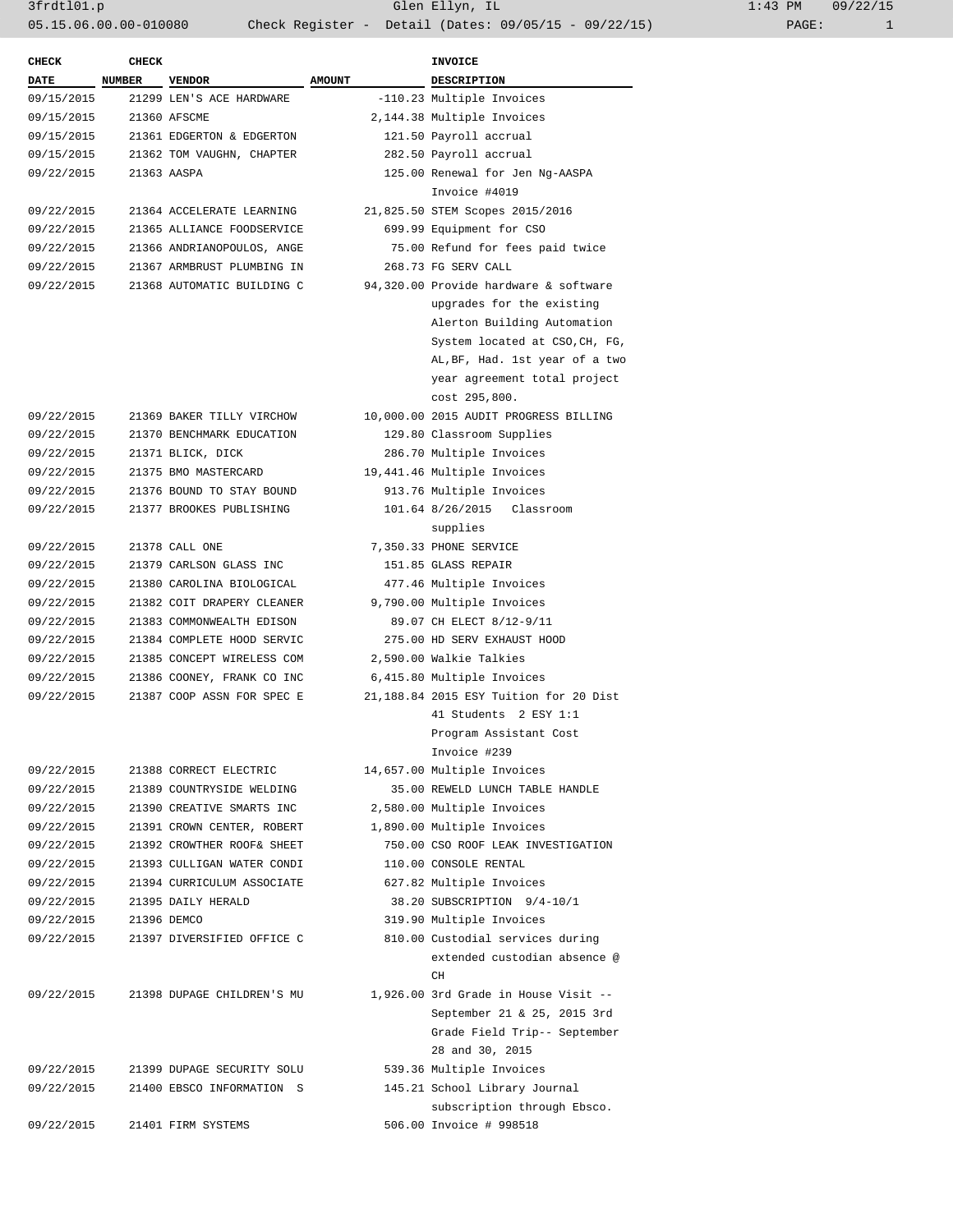| <b>CHECK</b> | <b>CHECK</b>  |                            |               | INVOICE                                |
|--------------|---------------|----------------------------|---------------|----------------------------------------|
| <b>DATE</b>  | <b>NUMBER</b> | <b>VENDOR</b>              | <b>AMOUNT</b> | DESCRIPTION                            |
| 09/15/2015   |               | 21299 LEN'S ACE HARDWARE   |               | -110.23 Multiple Invoices              |
| 09/15/2015   |               | 21360 AFSCME               |               | 2,144.38 Multiple Invoices             |
| 09/15/2015   |               | 21361 EDGERTON & EDGERTON  |               | 121.50 Payroll accrual                 |
| 09/15/2015   |               | 21362 TOM VAUGHN, CHAPTER  |               | 282.50 Payroll accrual                 |
| 09/22/2015   |               | 21363 AASPA                |               | 125.00 Renewal for Jen Ng-AASPA        |
|              |               |                            |               | Invoice #4019                          |
| 09/22/2015   |               | 21364 ACCELERATE LEARNING  |               | 21,825.50 STEM Scopes 2015/2016        |
| 09/22/2015   |               | 21365 ALLIANCE FOODSERVICE |               | 699.99 Equipment for CSO               |
| 09/22/2015   |               | 21366 ANDRIANOPOULOS, ANGE |               | 75.00 Refund for fees paid twice       |
| 09/22/2015   |               | 21367 ARMBRUST PLUMBING IN |               | 268.73 FG SERV CALL                    |
| 09/22/2015   |               | 21368 AUTOMATIC BUILDING C |               | 94,320.00 Provide hardware & software  |
|              |               |                            |               | upgrades for the existing              |
|              |               |                            |               | Alerton Building Automation            |
|              |               |                            |               | System located at CSO, CH, FG,         |
|              |               |                            |               | AL, BF, Had. 1st year of a two         |
|              |               |                            |               | year agreement total project           |
|              |               |                            |               | cost 295,800.                          |
| 09/22/2015   |               | 21369 BAKER TILLY VIRCHOW  |               | 10,000.00 2015 AUDIT PROGRESS BILLING  |
| 09/22/2015   |               | 21370 BENCHMARK EDUCATION  |               | 129.80 Classroom Supplies              |
|              |               |                            |               |                                        |
| 09/22/2015   |               | 21371 BLICK, DICK          |               | 286.70 Multiple Invoices               |
| 09/22/2015   |               | 21375 BMO MASTERCARD       |               | 19,441.46 Multiple Invoices            |
| 09/22/2015   |               | 21376 BOUND TO STAY BOUND  |               | 913.76 Multiple Invoices               |
| 09/22/2015   |               | 21377 BROOKES PUBLISHING   |               | 101.64 8/26/2015 Classroom             |
|              |               |                            |               | supplies                               |
| 09/22/2015   |               | 21378 CALL ONE             |               | 7,350.33 PHONE SERVICE                 |
| 09/22/2015   |               | 21379 CARLSON GLASS INC    |               | 151.85 GLASS REPAIR                    |
| 09/22/2015   |               | 21380 CAROLINA BIOLOGICAL  |               | 477.46 Multiple Invoices               |
| 09/22/2015   |               | 21382 COIT DRAPERY CLEANER |               | 9,790.00 Multiple Invoices             |
| 09/22/2015   |               | 21383 COMMONWEALTH EDISON  |               | 89.07 CH ELECT 8/12-9/11               |
| 09/22/2015   |               | 21384 COMPLETE HOOD SERVIC |               | 275.00 HD SERV EXHAUST HOOD            |
| 09/22/2015   |               | 21385 CONCEPT WIRELESS COM |               | 2,590.00 Walkie Talkies                |
| 09/22/2015   |               | 21386 COONEY, FRANK CO INC |               | 6,415.80 Multiple Invoices             |
| 09/22/2015   |               | 21387 COOP ASSN FOR SPEC E |               | 21,188.84 2015 ESY Tuition for 20 Dist |
|              |               |                            |               | 41 Students 2 ESY 1:1                  |
|              |               |                            |               | Program Assistant Cost                 |
|              |               |                            |               | Invoice #239                           |
| 09/22/2015   |               | 21388 CORRECT ELECTRIC     |               | 14,657.00 Multiple Invoices            |
| 09/22/2015   |               | 21389 COUNTRYSIDE WELDING  |               | 35.00 REWELD LUNCH TABLE HANDLE        |
| 09/22/2015   |               | 21390 CREATIVE SMARTS INC  |               | 2,580.00 Multiple Invoices             |
| 09/22/2015   |               | 21391 CROWN CENTER, ROBERT |               | 1,890.00 Multiple Invoices             |
| 09/22/2015   |               | 21392 CROWTHER ROOF& SHEET |               | 750.00 CSO ROOF LEAK INVESTIGATION     |
| 09/22/2015   |               | 21393 CULLIGAN WATER CONDI |               | 110.00 CONSOLE RENTAL                  |
| 09/22/2015   |               | 21394 CURRICULUM ASSOCIATE |               | 627.82 Multiple Invoices               |
| 09/22/2015   |               | 21395 DAILY HERALD         |               | 38.20 SUBSCRIPTION 9/4-10/1            |
| 09/22/2015   |               | 21396 DEMCO                |               | 319.90 Multiple Invoices               |
| 09/22/2015   |               | 21397 DIVERSIFIED OFFICE C |               | 810.00 Custodial services during       |
|              |               |                            |               | extended custodian absence @           |
|              |               |                            |               | CH                                     |
| 09/22/2015   |               | 21398 DUPAGE CHILDREN'S MU |               | 1,926.00 3rd Grade in House Visit --   |
|              |               |                            |               | September 21 & 25, 2015 3rd            |
|              |               |                            |               | Grade Field Trip-- September           |
|              |               |                            |               | 28 and 30, 2015                        |
| 09/22/2015   |               | 21399 DUPAGE SECURITY SOLU |               | 539.36 Multiple Invoices               |
| 09/22/2015   |               | 21400 EBSCO INFORMATION S  |               | 145.21 School Library Journal          |
|              |               |                            |               | subscription through Ebsco.            |
| 09/22/2015   |               | 21401 FIRM SYSTEMS         |               | 506.00 Invoice # 998518                |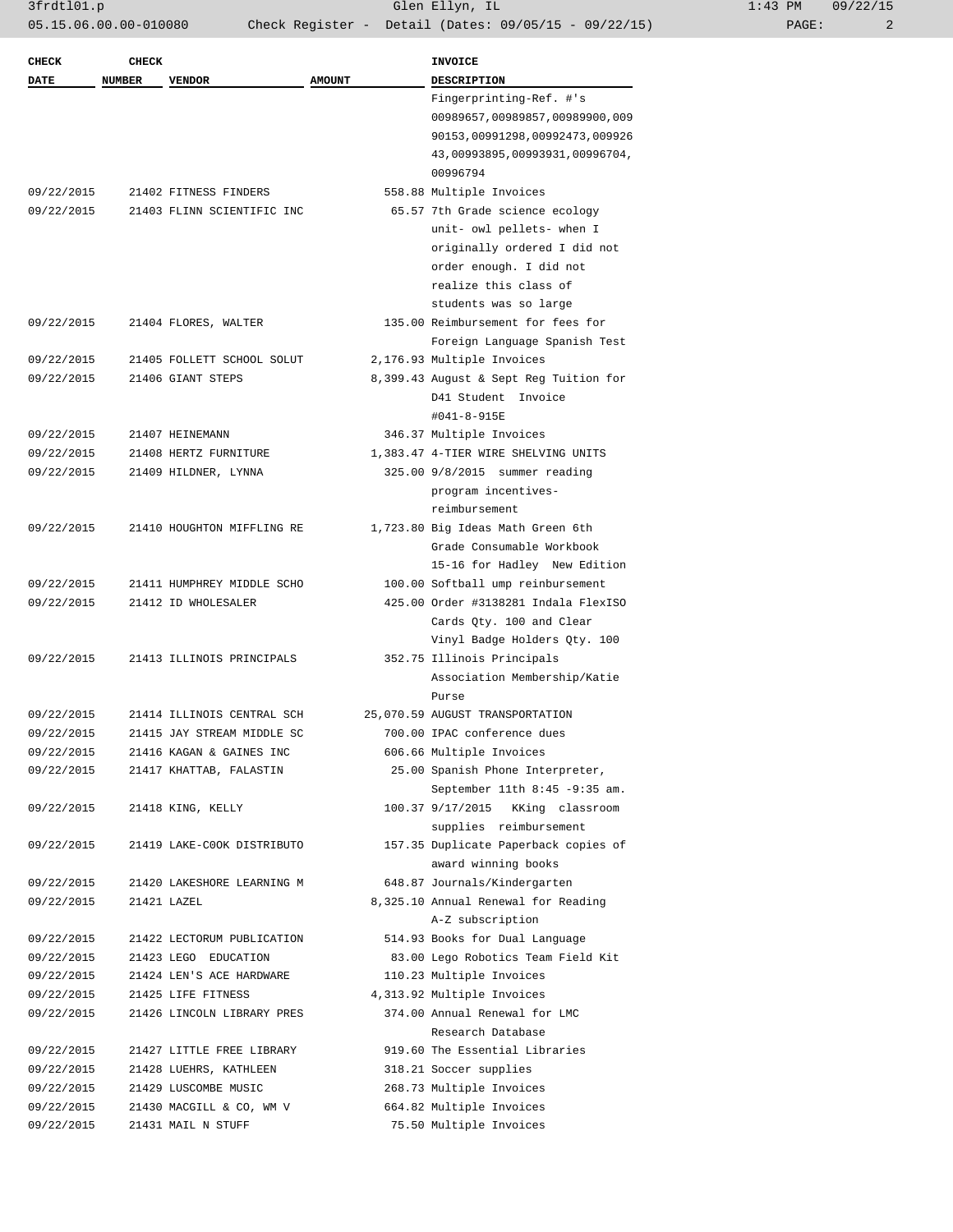| 1:43 PM |       | 09/22/15 |
|---------|-------|----------|
|         | PAGE: |          |

| <b>CHECK</b>             | <b>CHECK</b>  |                                               |               | <b>INVOICE</b>                                                  |
|--------------------------|---------------|-----------------------------------------------|---------------|-----------------------------------------------------------------|
| DATE                     | <b>NUMBER</b> | <b>VENDOR</b>                                 | <b>AMOUNT</b> | <b>DESCRIPTION</b>                                              |
|                          |               |                                               |               | Fingerprinting-Ref. #'s                                         |
|                          |               |                                               |               | 00989657,00989857,00989900,009                                  |
|                          |               |                                               |               | 90153,00991298,00992473,009926                                  |
|                          |               |                                               |               | 43,00993895,00993931,00996704,                                  |
|                          |               |                                               |               | 00996794                                                        |
| 09/22/2015               |               | 21402 FITNESS FINDERS                         |               | 558.88 Multiple Invoices                                        |
| 09/22/2015               |               | 21403 FLINN SCIENTIFIC INC                    |               | 65.57 7th Grade science ecology                                 |
|                          |               |                                               |               | unit- owl pellets- when I                                       |
|                          |               |                                               |               | originally ordered I did not                                    |
|                          |               |                                               |               | order enough. I did not                                         |
|                          |               |                                               |               | realize this class of                                           |
|                          |               |                                               |               | students was so large                                           |
| 09/22/2015               |               | 21404 FLORES, WALTER                          |               | 135.00 Reimbursement for fees for                               |
|                          |               |                                               |               | Foreign Language Spanish Test                                   |
| 09/22/2015               |               | 21405 FOLLETT SCHOOL SOLUT                    |               | 2,176.93 Multiple Invoices                                      |
| 09/22/2015               |               | 21406 GIANT STEPS                             |               | 8,399.43 August & Sept Reg Tuition for<br>D41 Student, Invoice  |
|                          |               |                                               |               | #041-8-915E                                                     |
|                          |               |                                               |               |                                                                 |
| 09/22/2015<br>09/22/2015 |               | 21407 HEINEMANN                               |               | 346.37 Multiple Invoices<br>1,383.47 4-TIER WIRE SHELVING UNITS |
| 09/22/2015               |               | 21408 HERTZ FURNITURE<br>21409 HILDNER, LYNNA |               | 325.00 9/8/2015 summer reading                                  |
|                          |               |                                               |               | program incentives-                                             |
|                          |               |                                               |               | reimbursement                                                   |
| 09/22/2015               |               | 21410 HOUGHTON MIFFLING RE                    |               | 1,723.80 Big Ideas Math Green 6th                               |
|                          |               |                                               |               | Grade Consumable Workbook                                       |
|                          |               |                                               |               | 15-16 for Hadley New Edition                                    |
| 09/22/2015               |               | 21411 HUMPHREY MIDDLE SCHO                    |               | 100.00 Softball ump reinbursement                               |
| 09/22/2015               |               | 21412 ID WHOLESALER                           |               | 425.00 Order #3138281 Indala FlexISO                            |
|                          |               |                                               |               | Cards Qty. 100 and Clear                                        |
|                          |               |                                               |               | Vinyl Badge Holders Qty. 100                                    |
| 09/22/2015               |               | 21413 ILLINOIS PRINCIPALS                     |               | 352.75 Illinois Principals                                      |
|                          |               |                                               |               | Association Membership/Katie                                    |
|                          |               |                                               |               | Purse                                                           |
| 09/22/2015               |               | 21414 ILLINOIS CENTRAL SCH                    |               | 25,070.59 AUGUST TRANSPORTATION                                 |
| 09/22/2015               |               | 21415 JAY STREAM MIDDLE SC                    |               | 700.00 IPAC conference dues                                     |
| 09/22/2015               |               | 21416 KAGAN & GAINES INC                      |               | 606.66 Multiple Invoices                                        |
| 09/22/2015               |               | 21417 KHATTAB, FALASTIN                       |               | 25.00 Spanish Phone Interpreter,                                |
|                          |               |                                               |               | September 11th 8:45 -9:35 am.                                   |
| 09/22/2015               |               | 21418 KING, KELLY                             |               | 100.37 9/17/2015 KKing classroom                                |
|                          |               |                                               |               | supplies reimbursement                                          |
| 09/22/2015               |               | 21419 LAKE-COOK DISTRIBUTO                    |               | 157.35 Duplicate Paperback copies of                            |
|                          |               |                                               |               | award winning books                                             |
| 09/22/2015               |               | 21420 LAKESHORE LEARNING M                    |               | 648.87 Journals/Kindergarten                                    |
| 09/22/2015               |               | 21421 LAZEL                                   |               | 8,325.10 Annual Renewal for Reading                             |
|                          |               |                                               |               | A-Z subscription                                                |
| 09/22/2015               |               | 21422 LECTORUM PUBLICATION                    |               | 514.93 Books for Dual Language                                  |
| 09/22/2015               |               | 21423 LEGO EDUCATION                          |               | 83.00 Lego Robotics Team Field Kit                              |
| 09/22/2015               |               | 21424 LEN'S ACE HARDWARE                      |               | 110.23 Multiple Invoices                                        |
| 09/22/2015               |               | 21425 LIFE FITNESS                            |               | 4,313.92 Multiple Invoices                                      |
| 09/22/2015               |               | 21426 LINCOLN LIBRARY PRES                    |               | 374.00 Annual Renewal for LMC                                   |
|                          |               |                                               |               | Research Database                                               |
| 09/22/2015               |               | 21427 LITTLE FREE LIBRARY                     |               | 919.60 The Essential Libraries                                  |
| 09/22/2015               |               | 21428 LUEHRS, KATHLEEN                        |               | 318.21 Soccer supplies                                          |
| 09/22/2015               |               | 21429 LUSCOMBE MUSIC                          |               | 268.73 Multiple Invoices                                        |
| 09/22/2015               |               | 21430 MACGILL & CO, WM V                      |               | 664.82 Multiple Invoices                                        |
| 09/22/2015               |               | 21431 MAIL N STUFF                            |               | 75.50 Multiple Invoices                                         |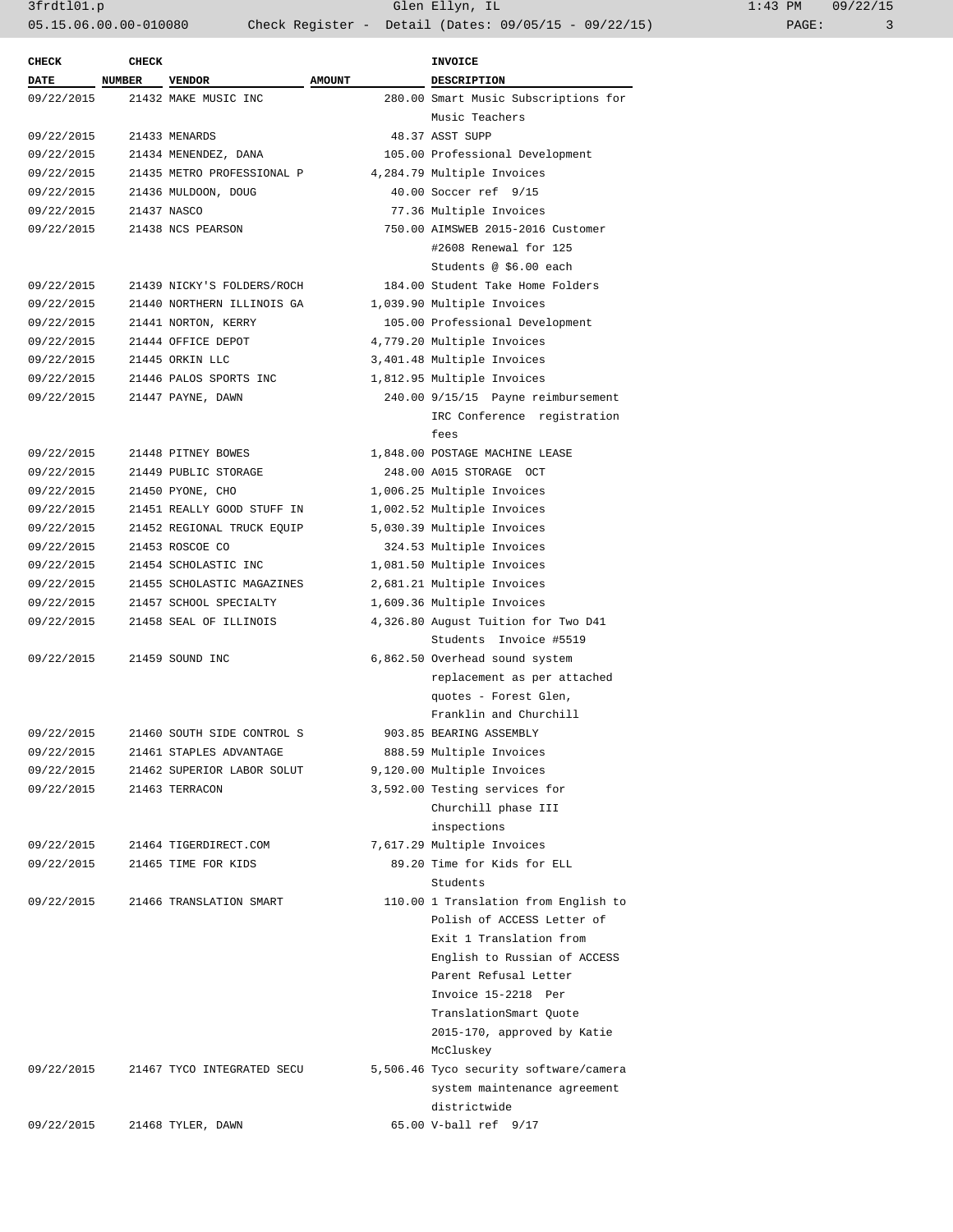3frdtl01.p Glen Ellyn, IL 1:43 PM 09/22/15 05.15.06.00.00-010080 Check Register - Detail (Dates: 09/05/15 - 09/22/15) PAGE: 3

| <b>CHECK</b> | <b>CHECK</b> |                            | <b>INVOICE</b> |                                        |
|--------------|--------------|----------------------------|----------------|----------------------------------------|
| DATE NUMBER  |              | <b>VENDOR</b>              | <b>AMOUNT</b>  | <b>DESCRIPTION</b>                     |
| 09/22/2015   |              | 21432 MAKE MUSIC INC       |                | 280.00 Smart Music Subscriptions for   |
|              |              |                            |                | Music Teachers                         |
| 09/22/2015   |              | 21433 MENARDS              |                | 48.37 ASST SUPP                        |
| 09/22/2015   |              | 21434 MENENDEZ, DANA       |                | 105.00 Professional Development        |
| 09/22/2015   |              | 21435 METRO PROFESSIONAL P |                | 4,284.79 Multiple Invoices             |
| 09/22/2015   |              | 21436 MULDOON, DOUG        |                | 40.00 Soccer ref 9/15                  |
| 09/22/2015   |              | 21437 NASCO                |                | 77.36 Multiple Invoices                |
| 09/22/2015   |              | 21438 NCS PEARSON          |                | 750.00 AIMSWEB 2015-2016 Customer      |
|              |              |                            |                | #2608 Renewal for 125                  |
|              |              |                            |                | Students @ \$6.00 each                 |
| 09/22/2015   |              | 21439 NICKY'S FOLDERS/ROCH |                | 184.00 Student Take Home Folders       |
| 09/22/2015   |              | 21440 NORTHERN ILLINOIS GA |                | 1,039.90 Multiple Invoices             |
| 09/22/2015   |              | 21441 NORTON, KERRY        |                | 105.00 Professional Development        |
| 09/22/2015   |              | 21444 OFFICE DEPOT         |                | 4,779.20 Multiple Invoices             |
| 09/22/2015   |              | 21445 ORKIN LLC            |                | 3,401.48 Multiple Invoices             |
| 09/22/2015   |              | 21446 PALOS SPORTS INC     |                | 1,812.95 Multiple Invoices             |
| 09/22/2015   |              | 21447 PAYNE, DAWN          |                | 240.00 9/15/15 Payne reimbursement     |
|              |              |                            |                | IRC Conference registration            |
|              |              |                            |                | fees                                   |
| 09/22/2015   |              | 21448 PITNEY BOWES         |                | 1,848.00 POSTAGE MACHINE LEASE         |
| 09/22/2015   |              | 21449 PUBLIC STORAGE       |                | 248.00 A015 STORAGE OCT                |
| 09/22/2015   |              | 21450 PYONE, CHO           |                | 1,006.25 Multiple Invoices             |
| 09/22/2015   |              | 21451 REALLY GOOD STUFF IN |                | 1,002.52 Multiple Invoices             |
| 09/22/2015   |              | 21452 REGIONAL TRUCK EQUIP |                | 5,030.39 Multiple Invoices             |
| 09/22/2015   |              | 21453 ROSCOE CO            |                | 324.53 Multiple Invoices               |
| 09/22/2015   |              | 21454 SCHOLASTIC INC       |                | 1,081.50 Multiple Invoices             |
| 09/22/2015   |              | 21455 SCHOLASTIC MAGAZINES |                | 2,681.21 Multiple Invoices             |
| 09/22/2015   |              | 21457 SCHOOL SPECIALTY     |                | 1,609.36 Multiple Invoices             |
| 09/22/2015   |              | 21458 SEAL OF ILLINOIS     |                | 4,326.80 August Tuition for Two D41    |
|              |              |                            |                | Students Invoice #5519                 |
| 09/22/2015   |              | 21459 SOUND INC            |                | 6,862.50 Overhead sound system         |
|              |              |                            |                | replacement as per attached            |
|              |              |                            |                | quotes - Forest Glen,                  |
|              |              |                            |                | Franklin and Churchill                 |
| 09/22/2015   |              | 21460 SOUTH SIDE CONTROL S |                | 903.85 BEARING ASSEMBLY                |
| 09/22/2015   |              | 21461 STAPLES ADVANTAGE    |                | 888.59 Multiple Invoices               |
| 09/22/2015   |              | 21462 SUPERIOR LABOR SOLUT |                | 9,120.00 Multiple Invoices             |
| 09/22/2015   |              | 21463 TERRACON             |                | 3,592.00 Testing services for          |
|              |              |                            |                | Churchill phase III                    |
|              |              |                            |                | inspections                            |
| 09/22/2015   |              | 21464 TIGERDIRECT.COM      |                | 7,617.29 Multiple Invoices             |
| 09/22/2015   |              | 21465 TIME FOR KIDS        |                | 89.20 Time for Kids for ELL            |
|              |              |                            |                | Students                               |
| 09/22/2015   |              | 21466 TRANSLATION SMART    |                | 110.00 1 Translation from English to   |
|              |              |                            |                | Polish of ACCESS Letter of             |
|              |              |                            |                | Exit 1 Translation from                |
|              |              |                            |                | English to Russian of ACCESS           |
|              |              |                            |                | Parent Refusal Letter                  |
|              |              |                            |                | Invoice 15-2218 Per                    |
|              |              |                            |                | TranslationSmart Quote                 |
|              |              |                            |                | 2015-170, approved by Katie            |
|              |              |                            |                | McCluskey                              |
| 09/22/2015   |              | 21467 TYCO INTEGRATED SECU |                | 5,506.46 Tyco security software/camera |
|              |              |                            |                | system maintenance agreement           |
|              |              |                            |                | districtwide                           |
| 09/22/2015   |              | 21468 TYLER, DAWN          |                | 65.00 V-ball ref 9/17                  |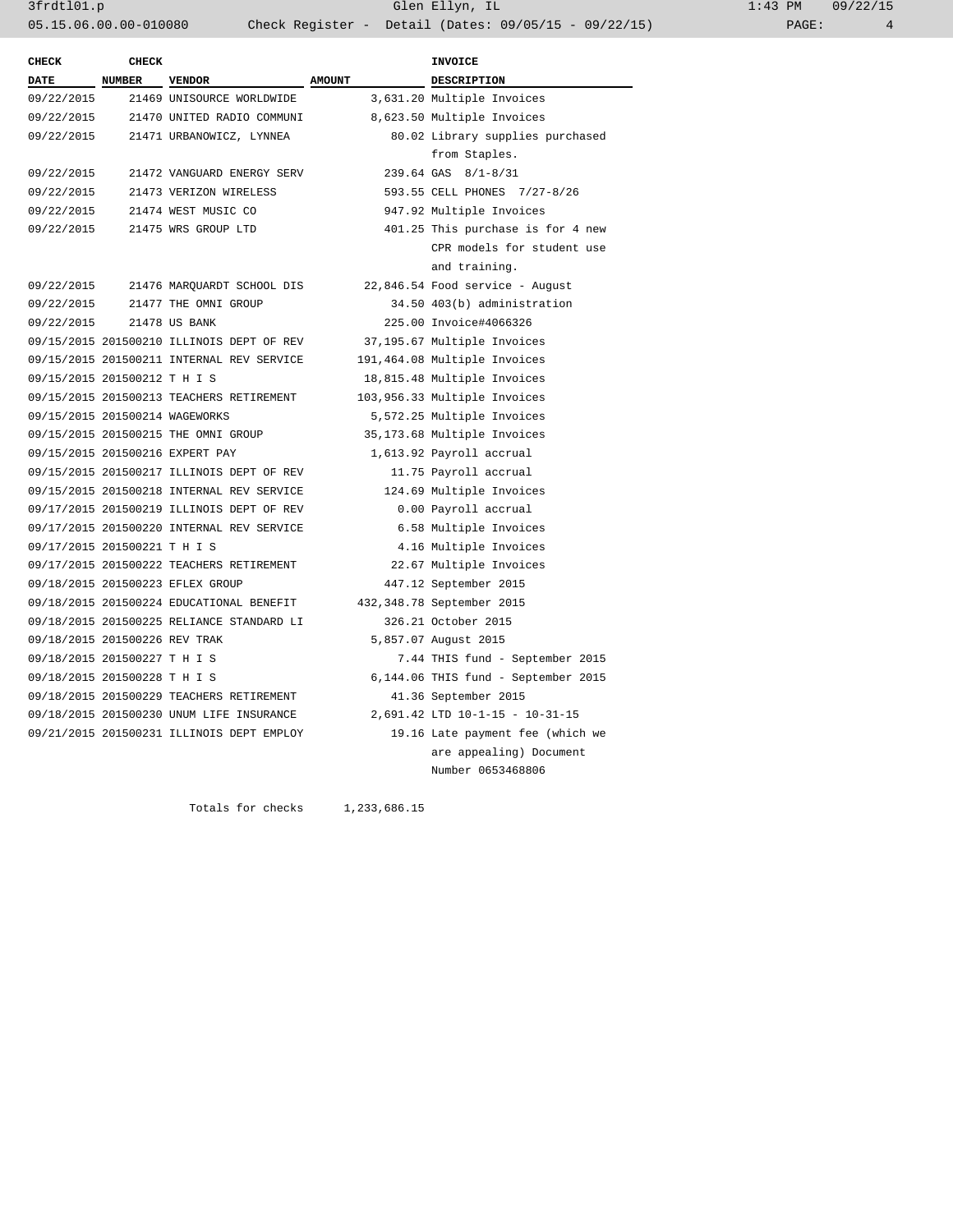3frdtl01.p Glen Ellyn, IL 1:43 PM 09/22/15 05.15.06.00.00-010080 Check Register - Detail (Dates: 09/05/15 - 09/22/15) PAGE: 4

| NUMBER VENDOR<br><b>AMOUNT</b><br>DESCRIPTION<br>09/22/2015<br>21469 UNISOURCE WORLDWIDE<br>3,631.20 Multiple Invoices<br>09/22/2015<br>21470 UNITED RADIO COMMUNI<br>8,623.50 Multiple Invoices<br>09/22/2015<br>80.02 Library supplies purchased<br>21471 URBANOWICZ, LYNNEA<br>from Staples.<br>09/22/2015<br>21472 VANGUARD ENERGY SERV<br>239.64 GAS 8/1-8/31<br>09/22/2015<br>21473 VERIZON WIRELESS<br>593.55 CELL PHONES 7/27-8/26<br>09/22/2015<br>21474 WEST MUSIC CO<br>947.92 Multiple Invoices<br>09/22/2015<br>21475 WRS GROUP LTD<br>401.25 This purchase is for 4 new<br>CPR models for student use<br>and training.<br>22,846.54 Food service - August<br>09/22/2015<br>21476 MARQUARDT SCHOOL DIS<br>09/22/2015<br>21477 THE OMNI GROUP<br>34.50 403(b) administration<br>09/22/2015<br>21478 US BANK<br>225.00 Invoice#4066326<br>09/15/2015 201500210 ILLINOIS DEPT OF REV<br>37,195.67 Multiple Invoices<br>09/15/2015 201500211 INTERNAL REV SERVICE<br>191,464.08 Multiple Invoices<br>09/15/2015 201500212 T H I S<br>18,815.48 Multiple Invoices<br>09/15/2015 201500213 TEACHERS RETIREMENT<br>103,956.33 Multiple Invoices<br>09/15/2015 201500214 WAGEWORKS<br>5,572.25 Multiple Invoices<br>09/15/2015 201500215 THE OMNI GROUP<br>35,173.68 Multiple Invoices<br>09/15/2015 201500216 EXPERT PAY<br>1,613.92 Payroll accrual<br>09/15/2015 201500217 ILLINOIS DEPT OF REV<br>11.75 Payroll accrual<br>09/15/2015 201500218 INTERNAL REV SERVICE<br>124.69 Multiple Invoices<br>09/17/2015 201500219 ILLINOIS DEPT OF REV<br>0.00 Payroll accrual<br>09/17/2015 201500220 INTERNAL REV SERVICE<br>6.58 Multiple Invoices<br>09/17/2015 201500221 T H I S<br>4.16 Multiple Invoices<br>09/17/2015 201500222 TEACHERS RETIREMENT<br>22.67 Multiple Invoices<br>09/18/2015 201500223 EFLEX GROUP<br>447.12 September 2015<br>09/18/2015 201500224 EDUCATIONAL BENEFIT<br>432,348.78 September 2015<br>09/18/2015 201500225 RELIANCE STANDARD LI<br>326.21 October 2015<br>09/18/2015 201500226 REV TRAK<br>5,857.07 August 2015 | <b>CHECK</b> | <b>CHECK</b> |  | <b>INVOICE</b>                  |
|-----------------------------------------------------------------------------------------------------------------------------------------------------------------------------------------------------------------------------------------------------------------------------------------------------------------------------------------------------------------------------------------------------------------------------------------------------------------------------------------------------------------------------------------------------------------------------------------------------------------------------------------------------------------------------------------------------------------------------------------------------------------------------------------------------------------------------------------------------------------------------------------------------------------------------------------------------------------------------------------------------------------------------------------------------------------------------------------------------------------------------------------------------------------------------------------------------------------------------------------------------------------------------------------------------------------------------------------------------------------------------------------------------------------------------------------------------------------------------------------------------------------------------------------------------------------------------------------------------------------------------------------------------------------------------------------------------------------------------------------------------------------------------------------------------------------------------------------------------------------------------------------------------------------------------------------------------------------------------------------------------------------------------------------------------------|--------------|--------------|--|---------------------------------|
|                                                                                                                                                                                                                                                                                                                                                                                                                                                                                                                                                                                                                                                                                                                                                                                                                                                                                                                                                                                                                                                                                                                                                                                                                                                                                                                                                                                                                                                                                                                                                                                                                                                                                                                                                                                                                                                                                                                                                                                                                                                           | <b>DATE</b>  |              |  |                                 |
|                                                                                                                                                                                                                                                                                                                                                                                                                                                                                                                                                                                                                                                                                                                                                                                                                                                                                                                                                                                                                                                                                                                                                                                                                                                                                                                                                                                                                                                                                                                                                                                                                                                                                                                                                                                                                                                                                                                                                                                                                                                           |              |              |  |                                 |
|                                                                                                                                                                                                                                                                                                                                                                                                                                                                                                                                                                                                                                                                                                                                                                                                                                                                                                                                                                                                                                                                                                                                                                                                                                                                                                                                                                                                                                                                                                                                                                                                                                                                                                                                                                                                                                                                                                                                                                                                                                                           |              |              |  |                                 |
|                                                                                                                                                                                                                                                                                                                                                                                                                                                                                                                                                                                                                                                                                                                                                                                                                                                                                                                                                                                                                                                                                                                                                                                                                                                                                                                                                                                                                                                                                                                                                                                                                                                                                                                                                                                                                                                                                                                                                                                                                                                           |              |              |  |                                 |
|                                                                                                                                                                                                                                                                                                                                                                                                                                                                                                                                                                                                                                                                                                                                                                                                                                                                                                                                                                                                                                                                                                                                                                                                                                                                                                                                                                                                                                                                                                                                                                                                                                                                                                                                                                                                                                                                                                                                                                                                                                                           |              |              |  |                                 |
|                                                                                                                                                                                                                                                                                                                                                                                                                                                                                                                                                                                                                                                                                                                                                                                                                                                                                                                                                                                                                                                                                                                                                                                                                                                                                                                                                                                                                                                                                                                                                                                                                                                                                                                                                                                                                                                                                                                                                                                                                                                           |              |              |  |                                 |
|                                                                                                                                                                                                                                                                                                                                                                                                                                                                                                                                                                                                                                                                                                                                                                                                                                                                                                                                                                                                                                                                                                                                                                                                                                                                                                                                                                                                                                                                                                                                                                                                                                                                                                                                                                                                                                                                                                                                                                                                                                                           |              |              |  |                                 |
|                                                                                                                                                                                                                                                                                                                                                                                                                                                                                                                                                                                                                                                                                                                                                                                                                                                                                                                                                                                                                                                                                                                                                                                                                                                                                                                                                                                                                                                                                                                                                                                                                                                                                                                                                                                                                                                                                                                                                                                                                                                           |              |              |  |                                 |
|                                                                                                                                                                                                                                                                                                                                                                                                                                                                                                                                                                                                                                                                                                                                                                                                                                                                                                                                                                                                                                                                                                                                                                                                                                                                                                                                                                                                                                                                                                                                                                                                                                                                                                                                                                                                                                                                                                                                                                                                                                                           |              |              |  |                                 |
|                                                                                                                                                                                                                                                                                                                                                                                                                                                                                                                                                                                                                                                                                                                                                                                                                                                                                                                                                                                                                                                                                                                                                                                                                                                                                                                                                                                                                                                                                                                                                                                                                                                                                                                                                                                                                                                                                                                                                                                                                                                           |              |              |  |                                 |
|                                                                                                                                                                                                                                                                                                                                                                                                                                                                                                                                                                                                                                                                                                                                                                                                                                                                                                                                                                                                                                                                                                                                                                                                                                                                                                                                                                                                                                                                                                                                                                                                                                                                                                                                                                                                                                                                                                                                                                                                                                                           |              |              |  |                                 |
|                                                                                                                                                                                                                                                                                                                                                                                                                                                                                                                                                                                                                                                                                                                                                                                                                                                                                                                                                                                                                                                                                                                                                                                                                                                                                                                                                                                                                                                                                                                                                                                                                                                                                                                                                                                                                                                                                                                                                                                                                                                           |              |              |  |                                 |
|                                                                                                                                                                                                                                                                                                                                                                                                                                                                                                                                                                                                                                                                                                                                                                                                                                                                                                                                                                                                                                                                                                                                                                                                                                                                                                                                                                                                                                                                                                                                                                                                                                                                                                                                                                                                                                                                                                                                                                                                                                                           |              |              |  |                                 |
|                                                                                                                                                                                                                                                                                                                                                                                                                                                                                                                                                                                                                                                                                                                                                                                                                                                                                                                                                                                                                                                                                                                                                                                                                                                                                                                                                                                                                                                                                                                                                                                                                                                                                                                                                                                                                                                                                                                                                                                                                                                           |              |              |  |                                 |
|                                                                                                                                                                                                                                                                                                                                                                                                                                                                                                                                                                                                                                                                                                                                                                                                                                                                                                                                                                                                                                                                                                                                                                                                                                                                                                                                                                                                                                                                                                                                                                                                                                                                                                                                                                                                                                                                                                                                                                                                                                                           |              |              |  |                                 |
|                                                                                                                                                                                                                                                                                                                                                                                                                                                                                                                                                                                                                                                                                                                                                                                                                                                                                                                                                                                                                                                                                                                                                                                                                                                                                                                                                                                                                                                                                                                                                                                                                                                                                                                                                                                                                                                                                                                                                                                                                                                           |              |              |  |                                 |
|                                                                                                                                                                                                                                                                                                                                                                                                                                                                                                                                                                                                                                                                                                                                                                                                                                                                                                                                                                                                                                                                                                                                                                                                                                                                                                                                                                                                                                                                                                                                                                                                                                                                                                                                                                                                                                                                                                                                                                                                                                                           |              |              |  |                                 |
|                                                                                                                                                                                                                                                                                                                                                                                                                                                                                                                                                                                                                                                                                                                                                                                                                                                                                                                                                                                                                                                                                                                                                                                                                                                                                                                                                                                                                                                                                                                                                                                                                                                                                                                                                                                                                                                                                                                                                                                                                                                           |              |              |  |                                 |
|                                                                                                                                                                                                                                                                                                                                                                                                                                                                                                                                                                                                                                                                                                                                                                                                                                                                                                                                                                                                                                                                                                                                                                                                                                                                                                                                                                                                                                                                                                                                                                                                                                                                                                                                                                                                                                                                                                                                                                                                                                                           |              |              |  |                                 |
|                                                                                                                                                                                                                                                                                                                                                                                                                                                                                                                                                                                                                                                                                                                                                                                                                                                                                                                                                                                                                                                                                                                                                                                                                                                                                                                                                                                                                                                                                                                                                                                                                                                                                                                                                                                                                                                                                                                                                                                                                                                           |              |              |  |                                 |
|                                                                                                                                                                                                                                                                                                                                                                                                                                                                                                                                                                                                                                                                                                                                                                                                                                                                                                                                                                                                                                                                                                                                                                                                                                                                                                                                                                                                                                                                                                                                                                                                                                                                                                                                                                                                                                                                                                                                                                                                                                                           |              |              |  |                                 |
|                                                                                                                                                                                                                                                                                                                                                                                                                                                                                                                                                                                                                                                                                                                                                                                                                                                                                                                                                                                                                                                                                                                                                                                                                                                                                                                                                                                                                                                                                                                                                                                                                                                                                                                                                                                                                                                                                                                                                                                                                                                           |              |              |  |                                 |
|                                                                                                                                                                                                                                                                                                                                                                                                                                                                                                                                                                                                                                                                                                                                                                                                                                                                                                                                                                                                                                                                                                                                                                                                                                                                                                                                                                                                                                                                                                                                                                                                                                                                                                                                                                                                                                                                                                                                                                                                                                                           |              |              |  |                                 |
|                                                                                                                                                                                                                                                                                                                                                                                                                                                                                                                                                                                                                                                                                                                                                                                                                                                                                                                                                                                                                                                                                                                                                                                                                                                                                                                                                                                                                                                                                                                                                                                                                                                                                                                                                                                                                                                                                                                                                                                                                                                           |              |              |  |                                 |
|                                                                                                                                                                                                                                                                                                                                                                                                                                                                                                                                                                                                                                                                                                                                                                                                                                                                                                                                                                                                                                                                                                                                                                                                                                                                                                                                                                                                                                                                                                                                                                                                                                                                                                                                                                                                                                                                                                                                                                                                                                                           |              |              |  |                                 |
|                                                                                                                                                                                                                                                                                                                                                                                                                                                                                                                                                                                                                                                                                                                                                                                                                                                                                                                                                                                                                                                                                                                                                                                                                                                                                                                                                                                                                                                                                                                                                                                                                                                                                                                                                                                                                                                                                                                                                                                                                                                           |              |              |  |                                 |
|                                                                                                                                                                                                                                                                                                                                                                                                                                                                                                                                                                                                                                                                                                                                                                                                                                                                                                                                                                                                                                                                                                                                                                                                                                                                                                                                                                                                                                                                                                                                                                                                                                                                                                                                                                                                                                                                                                                                                                                                                                                           |              |              |  |                                 |
|                                                                                                                                                                                                                                                                                                                                                                                                                                                                                                                                                                                                                                                                                                                                                                                                                                                                                                                                                                                                                                                                                                                                                                                                                                                                                                                                                                                                                                                                                                                                                                                                                                                                                                                                                                                                                                                                                                                                                                                                                                                           |              |              |  |                                 |
|                                                                                                                                                                                                                                                                                                                                                                                                                                                                                                                                                                                                                                                                                                                                                                                                                                                                                                                                                                                                                                                                                                                                                                                                                                                                                                                                                                                                                                                                                                                                                                                                                                                                                                                                                                                                                                                                                                                                                                                                                                                           |              |              |  |                                 |
|                                                                                                                                                                                                                                                                                                                                                                                                                                                                                                                                                                                                                                                                                                                                                                                                                                                                                                                                                                                                                                                                                                                                                                                                                                                                                                                                                                                                                                                                                                                                                                                                                                                                                                                                                                                                                                                                                                                                                                                                                                                           |              |              |  |                                 |
|                                                                                                                                                                                                                                                                                                                                                                                                                                                                                                                                                                                                                                                                                                                                                                                                                                                                                                                                                                                                                                                                                                                                                                                                                                                                                                                                                                                                                                                                                                                                                                                                                                                                                                                                                                                                                                                                                                                                                                                                                                                           |              |              |  |                                 |
| 09/18/2015 201500227 T H I S                                                                                                                                                                                                                                                                                                                                                                                                                                                                                                                                                                                                                                                                                                                                                                                                                                                                                                                                                                                                                                                                                                                                                                                                                                                                                                                                                                                                                                                                                                                                                                                                                                                                                                                                                                                                                                                                                                                                                                                                                              |              |              |  | 7.44 THIS fund - September 2015 |
| 09/18/2015 201500228 T H I S<br>6,144.06 THIS fund - September 2015                                                                                                                                                                                                                                                                                                                                                                                                                                                                                                                                                                                                                                                                                                                                                                                                                                                                                                                                                                                                                                                                                                                                                                                                                                                                                                                                                                                                                                                                                                                                                                                                                                                                                                                                                                                                                                                                                                                                                                                       |              |              |  |                                 |
| 09/18/2015 201500229 TEACHERS RETIREMENT<br>41.36 September 2015                                                                                                                                                                                                                                                                                                                                                                                                                                                                                                                                                                                                                                                                                                                                                                                                                                                                                                                                                                                                                                                                                                                                                                                                                                                                                                                                                                                                                                                                                                                                                                                                                                                                                                                                                                                                                                                                                                                                                                                          |              |              |  |                                 |
| 09/18/2015 201500230 UNUM LIFE INSURANCE<br>2,691.42 LTD 10-1-15 - 10-31-15                                                                                                                                                                                                                                                                                                                                                                                                                                                                                                                                                                                                                                                                                                                                                                                                                                                                                                                                                                                                                                                                                                                                                                                                                                                                                                                                                                                                                                                                                                                                                                                                                                                                                                                                                                                                                                                                                                                                                                               |              |              |  |                                 |
| 09/21/2015 201500231 ILLINOIS DEPT EMPLOY<br>19.16 Late payment fee (which we                                                                                                                                                                                                                                                                                                                                                                                                                                                                                                                                                                                                                                                                                                                                                                                                                                                                                                                                                                                                                                                                                                                                                                                                                                                                                                                                                                                                                                                                                                                                                                                                                                                                                                                                                                                                                                                                                                                                                                             |              |              |  |                                 |
| are appealing) Document                                                                                                                                                                                                                                                                                                                                                                                                                                                                                                                                                                                                                                                                                                                                                                                                                                                                                                                                                                                                                                                                                                                                                                                                                                                                                                                                                                                                                                                                                                                                                                                                                                                                                                                                                                                                                                                                                                                                                                                                                                   |              |              |  |                                 |
| Number 0653468806                                                                                                                                                                                                                                                                                                                                                                                                                                                                                                                                                                                                                                                                                                                                                                                                                                                                                                                                                                                                                                                                                                                                                                                                                                                                                                                                                                                                                                                                                                                                                                                                                                                                                                                                                                                                                                                                                                                                                                                                                                         |              |              |  |                                 |

Totals for checks 1,233,686.15